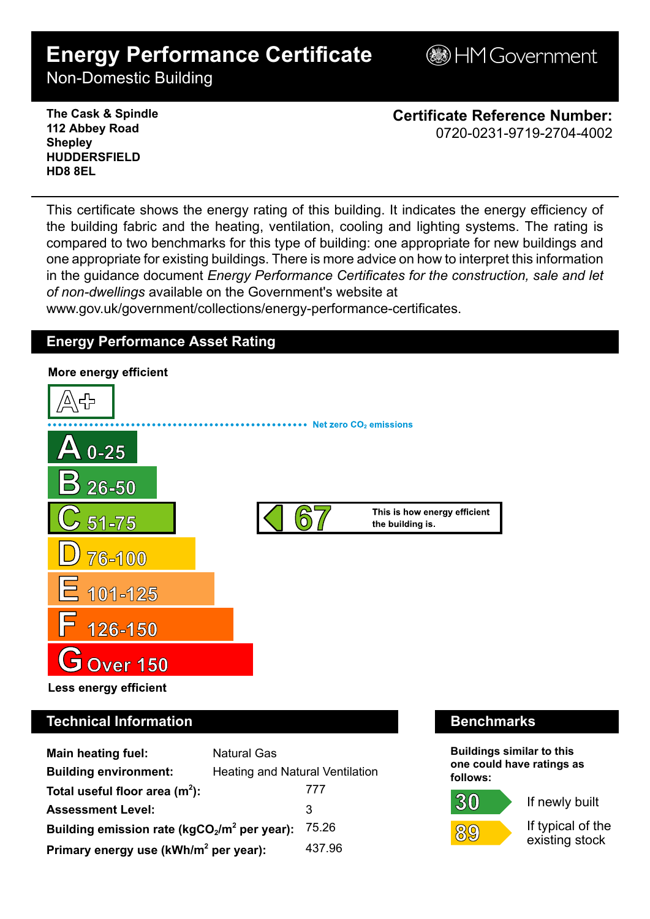# **Energy Performance Certificate**

**BHM Government** 

Non-Domestic Building

**The Cask & Spindle 112 Abbey Road Shepley HUDDERSFIELD HD8 8EL**

**Certificate Reference Number:** 0720-0231-9719-2704-4002

This certificate shows the energy rating of this building. It indicates the energy efficiency of the building fabric and the heating, ventilation, cooling and lighting systems. The rating is compared to two benchmarks for this type of building: one appropriate for new buildings and one appropriate for existing buildings. There is more advice on how to interpret this information in the guidance document *Energy Performance Certificates for the construction, sale and let of non-dwellings* available on the Government's website at

www.gov.uk/government/collections/energy-performance-certificates.

# **Energy Performance Asset Rating**



# **Technical Information Benchmarks**

| <b>Main heating fuel:</b>                         | <b>Natural Gas</b>                     |        |
|---------------------------------------------------|----------------------------------------|--------|
| <b>Building environment:</b>                      | <b>Heating and Natural Ventilation</b> |        |
| Total useful floor area $(m2)$ :                  |                                        | 777    |
| <b>Assessment Level:</b>                          |                                        | 3      |
| Building emission rate ( $kgCO2/m2$ per year):    |                                        | 75.26  |
| Primary energy use (kWh/m <sup>2</sup> per year): |                                        | 437.96 |

**Buildings similar to this one could have ratings as follows:**

30



If newly built

If typical of the existing stock